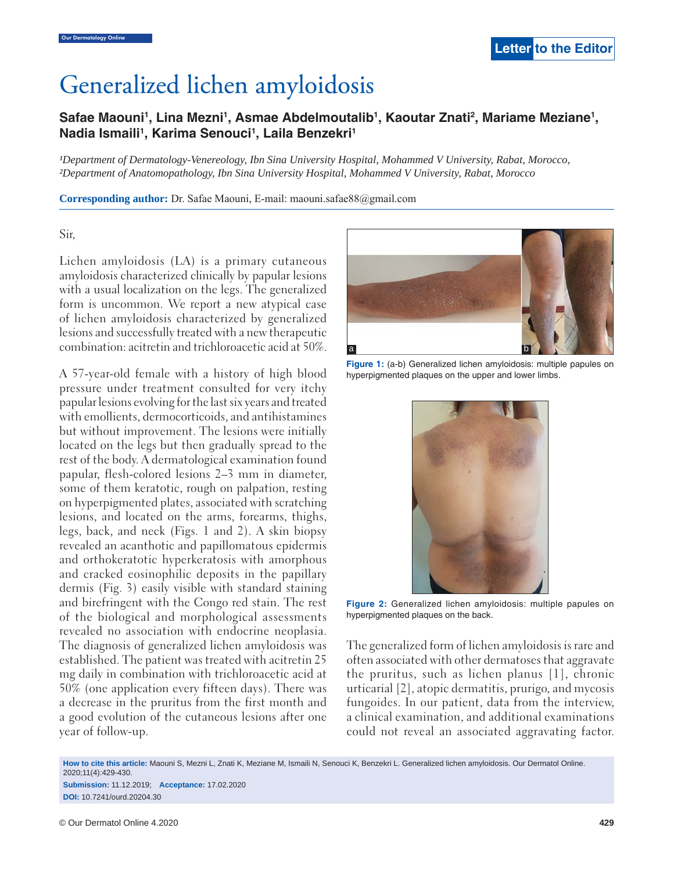# Generalized lichen amyloidosis

# Safae Maouni<sup>1</sup>, Lina Mezni<sup>1</sup>, Asmae Abdelmoutalib<sup>1</sup>, Kaoutar Znati<sup>2</sup>, Mariame Meziane<sup>1</sup>, Nadia Ismaili<sup>1</sup>, Karima Senouci<sup>1</sup>, Laila Benzekri<sup>1</sup>

*¹Department of Dermatology-Venereology, Ibn Sina University Hospital, Mohammed V University, Rabat, Morocco, ²Department of Anatomopathology, Ibn Sina University Hospital, Mohammed V University, Rabat, Morocco*

**Corresponding author:** Dr. Safae Maouni, E-mail: maouni.safae88@gmail.com

#### Sir,

Lichen amyloidosis (LA) is a primary cutaneous amyloidosis characterized clinically by papular lesions with a usual localization on the legs. The generalized form is uncommon. We report a new atypical case of lichen amyloidosis characterized by generalized lesions and successfully treated with a new therapeutic combination: acitretin and trichloroacetic acid at 50%.

A 57-year-old female with a history of high blood pressure under treatment consulted for very itchy papular lesions evolving for the last six years and treated with emollients, dermocorticoids, and antihistamines but without improvement. The lesions were initially located on the legs but then gradually spread to the rest of the body. A dermatological examination found papular, flesh-colored lesions 2–3 mm in diameter, some of them keratotic, rough on palpation, resting on hyperpigmented plates, associated with scratching lesions, and located on the arms, forearms, thighs, legs, back, and neck (Figs. 1 and 2). A skin biopsy revealed an acanthotic and papillomatous epidermis and orthokeratotic hyperkeratosis with amorphous and cracked eosinophilic deposits in the papillary dermis (Fig. 3) easily visible with standard staining and birefringent with the Congo red stain. The rest of the biological and morphological assessments revealed no association with endocrine neoplasia. The diagnosis of generalized lichen amyloidosis was established. The patient was treated with acitretin 25 mg daily in combination with trichloroacetic acid at 50% (one application every fifteen days). There was a decrease in the pruritus from the first month and a good evolution of the cutaneous lesions after one year of follow-up.



**Figure 1:** (a-b) Generalized lichen amyloidosis: multiple papules on hyperpigmented plaques on the upper and lower limbs.



**Figure 2:** Generalized lichen amyloidosis: multiple papules on hyperpigmented plaques on the back.

The generalized form of lichen amyloidosis is rare and often associated with other dermatoses that aggravate the pruritus, such as lichen planus [1], chronic urticarial [2], atopic dermatitis, prurigo, and mycosis fungoides. In our patient, data from the interview, a clinical examination, and additional examinations could not reveal an associated aggravating factor.

**How to cite this article:** Maouni S, Mezni L, Znati K, Meziane M, Ismaili N, Senouci K, Benzekri L. Generalized lichen amyloidosis. Our Dermatol Online. 2020;11(4):429-430.

**Submission:** 11.12.2019; **Acceptance:** 17.02.2020 **DOI:** 10.7241/ourd.20204.30